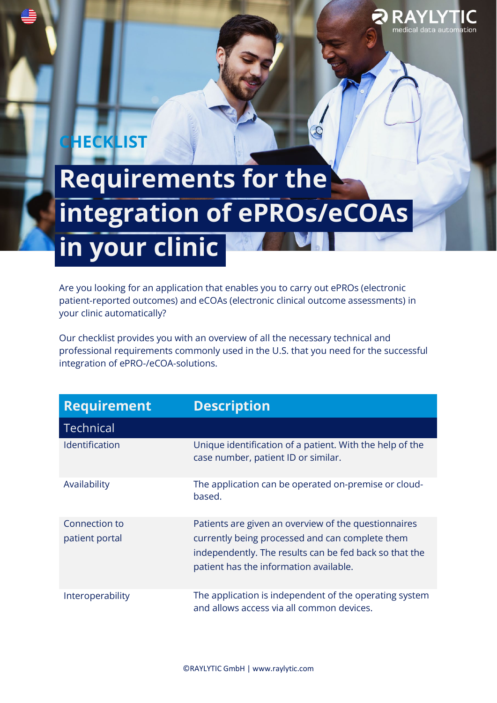## **HECKLIST**

## **Requirements for the integration of ePROs/eCOAs in your clinic**

RAYIY nedical data a

Are you looking for an application that enables you to carry out ePROs (electronic patient-reported outcomes) and eCOAs (electronic clinical outcome assessments) in your clinic automatically?

Our checklist provides you with an overview of all the necessary technical and professional requirements commonly used in the U.S. that you need for the successful integration of ePRO-/eCOA-solutions.

| <b>Requirement</b>              | <b>Description</b>                                                                                                                                                                                          |
|---------------------------------|-------------------------------------------------------------------------------------------------------------------------------------------------------------------------------------------------------------|
| <b>Technical</b>                |                                                                                                                                                                                                             |
| <b>Identification</b>           | Unique identification of a patient. With the help of the<br>case number, patient ID or similar.                                                                                                             |
| Availability                    | The application can be operated on-premise or cloud-<br>based.                                                                                                                                              |
| Connection to<br>patient portal | Patients are given an overview of the questionnaires<br>currently being processed and can complete them<br>independently. The results can be fed back so that the<br>patient has the information available. |
| Interoperability                | The application is independent of the operating system<br>and allows access via all common devices.                                                                                                         |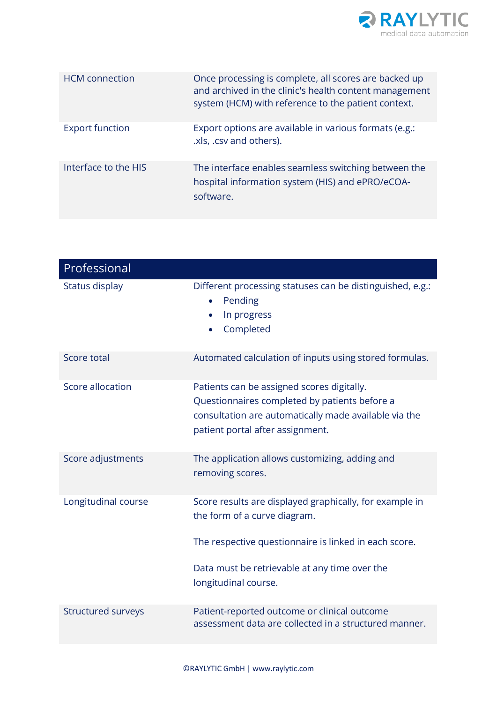

| <b>HCM</b> connection  | Once processing is complete, all scores are backed up<br>and archived in the clinic's health content management<br>system (HCM) with reference to the patient context. |
|------------------------|------------------------------------------------------------------------------------------------------------------------------------------------------------------------|
| <b>Export function</b> | Export options are available in various formats (e.g.:<br>.xls, .csv and others).                                                                                      |
| Interface to the HIS   | The interface enables seamless switching between the<br>hospital information system (HIS) and ePRO/eCOA-<br>software.                                                  |

| Professional        |                                                                                                                                                                                                   |
|---------------------|---------------------------------------------------------------------------------------------------------------------------------------------------------------------------------------------------|
| Status display      | Different processing statuses can be distinguished, e.g.:<br>Pending<br>In progress<br>Completed                                                                                                  |
| Score total         | Automated calculation of inputs using stored formulas.                                                                                                                                            |
| Score allocation    | Patients can be assigned scores digitally.<br>Questionnaires completed by patients before a<br>consultation are automatically made available via the<br>patient portal after assignment.          |
| Score adjustments   | The application allows customizing, adding and<br>removing scores.                                                                                                                                |
| Longitudinal course | Score results are displayed graphically, for example in<br>the form of a curve diagram.<br>The respective questionnaire is linked in each score.<br>Data must be retrievable at any time over the |
|                     | longitudinal course.                                                                                                                                                                              |
| Structured surveys  | Patient-reported outcome or clinical outcome<br>assessment data are collected in a structured manner.                                                                                             |